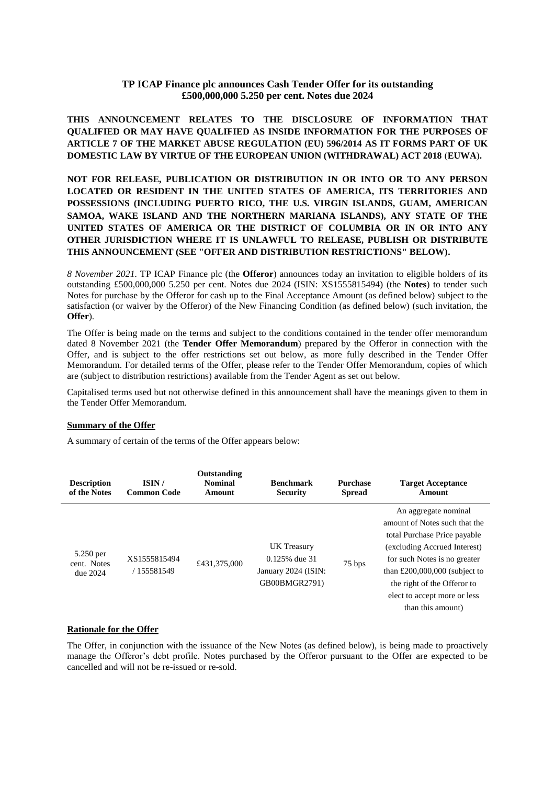# **TP ICAP Finance plc announces Cash Tender Offer for its outstanding £500,000,000 5.250 per cent. Notes due 2024**

**THIS ANNOUNCEMENT RELATES TO THE DISCLOSURE OF INFORMATION THAT QUALIFIED OR MAY HAVE QUALIFIED AS INSIDE INFORMATION FOR THE PURPOSES OF ARTICLE 7 OF THE MARKET ABUSE REGULATION (EU) 596/2014 AS IT FORMS PART OF UK DOMESTIC LAW BY VIRTUE OF THE EUROPEAN UNION (WITHDRAWAL) ACT 2018** (**EUWA**)**.**

**NOT FOR RELEASE, PUBLICATION OR DISTRIBUTION IN OR INTO OR TO ANY PERSON LOCATED OR RESIDENT IN THE UNITED STATES OF AMERICA, ITS TERRITORIES AND POSSESSIONS (INCLUDING PUERTO RICO, THE U.S. VIRGIN ISLANDS, GUAM, AMERICAN SAMOA, WAKE ISLAND AND THE NORTHERN MARIANA ISLANDS), ANY STATE OF THE UNITED STATES OF AMERICA OR THE DISTRICT OF COLUMBIA OR IN OR INTO ANY OTHER JURISDICTION WHERE IT IS UNLAWFUL TO RELEASE, PUBLISH OR DISTRIBUTE THIS ANNOUNCEMENT (SEE "OFFER AND DISTRIBUTION RESTRICTIONS" BELOW).**

*8 November 2021.* TP ICAP Finance plc (the **Offeror**) announces today an invitation to eligible holders of its outstanding £500,000,000 5.250 per cent. Notes due 2024 (ISIN: XS1555815494) (the **Notes**) to tender such Notes for purchase by the Offeror for cash up to the Final Acceptance Amount (as defined below) subject to the satisfaction (or waiver by the Offeror) of the New Financing Condition (as defined below) (such invitation, the **Offer**).

The Offer is being made on the terms and subject to the conditions contained in the tender offer memorandum dated 8 November 2021 (the **Tender Offer Memorandum**) prepared by the Offeror in connection with the Offer, and is subject to the offer restrictions set out below, as more fully described in the Tender Offer Memorandum. For detailed terms of the Offer, please refer to the Tender Offer Memorandum, copies of which are (subject to distribution restrictions) available from the Tender Agent as set out below.

Capitalised terms used but not otherwise defined in this announcement shall have the meanings given to them in the Tender Offer Memorandum.

## **Summary of the Offer**

A summary of certain of the terms of the Offer appears below:

| <b>Description</b><br>of the Notes     | ISIN/<br><b>Common Code</b> | Outstanding<br><b>Nominal</b><br>Amount | <b>Benchmark</b><br><b>Security</b>                                     | <b>Purchase</b><br><b>Spread</b> | <b>Target Acceptance</b><br>Amount                                                                                                                                                                                                                                           |
|----------------------------------------|-----------------------------|-----------------------------------------|-------------------------------------------------------------------------|----------------------------------|------------------------------------------------------------------------------------------------------------------------------------------------------------------------------------------------------------------------------------------------------------------------------|
| 5.250 per<br>cent. Notes<br>due $2024$ | XS1555815494<br>/ 155581549 | £431,375,000                            | UK Treasury<br>$0.125\%$ due 31<br>January 2024 (ISIN:<br>GB00BMGR2791) | 75 bps                           | An aggregate nominal<br>amount of Notes such that the<br>total Purchase Price payable<br>(excluding Accrued Interest)<br>for such Notes is no greater<br>than $£200,000,000$ (subject to<br>the right of the Offeror to<br>elect to accept more or less<br>than this amount) |

### **Rationale for the Offer**

The Offer, in conjunction with the issuance of the New Notes (as defined below), is being made to proactively manage the Offeror's debt profile. Notes purchased by the Offeror pursuant to the Offer are expected to be cancelled and will not be re-issued or re-sold.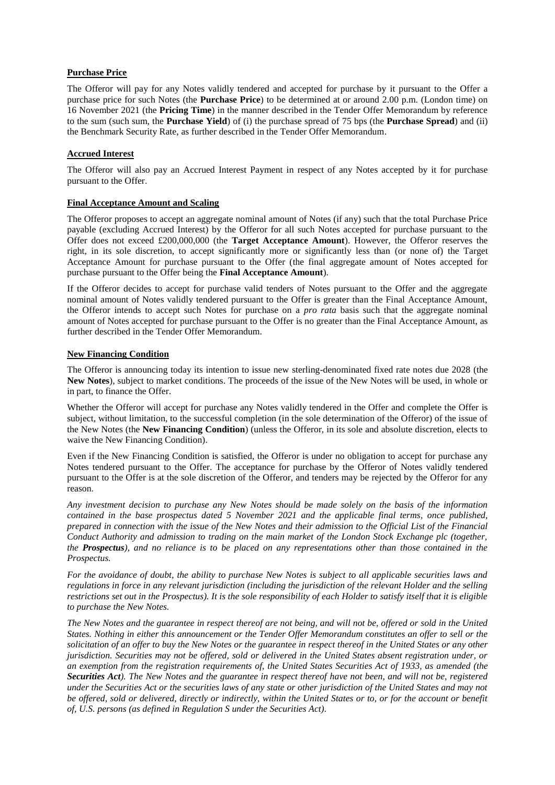## **Purchase Price**

The Offeror will pay for any Notes validly tendered and accepted for purchase by it pursuant to the Offer a purchase price for such Notes (the **Purchase Price**) to be determined at or around 2.00 p.m. (London time) on 16 November 2021 (the **Pricing Time**) in the manner described in the Tender Offer Memorandum by reference to the sum (such sum, the **Purchase Yield**) of (i) the purchase spread of 75 bps (the **Purchase Spread**) and (ii) the Benchmark Security Rate, as further described in the Tender Offer Memorandum.

# **Accrued Interest**

The Offeror will also pay an Accrued Interest Payment in respect of any Notes accepted by it for purchase pursuant to the Offer.

### **Final Acceptance Amount and Scaling**

The Offeror proposes to accept an aggregate nominal amount of Notes (if any) such that the total Purchase Price payable (excluding Accrued Interest) by the Offeror for all such Notes accepted for purchase pursuant to the Offer does not exceed £200,000,000 (the **Target Acceptance Amount**). However, the Offeror reserves the right, in its sole discretion, to accept significantly more or significantly less than (or none of) the Target Acceptance Amount for purchase pursuant to the Offer (the final aggregate amount of Notes accepted for purchase pursuant to the Offer being the **Final Acceptance Amount**).

If the Offeror decides to accept for purchase valid tenders of Notes pursuant to the Offer and the aggregate nominal amount of Notes validly tendered pursuant to the Offer is greater than the Final Acceptance Amount, the Offeror intends to accept such Notes for purchase on a *pro rata* basis such that the aggregate nominal amount of Notes accepted for purchase pursuant to the Offer is no greater than the Final Acceptance Amount, as further described in the Tender Offer Memorandum.

## **New Financing Condition**

The Offeror is announcing today its intention to issue new sterling-denominated fixed rate notes due 2028 (the **New Notes**), subject to market conditions. The proceeds of the issue of the New Notes will be used, in whole or in part, to finance the Offer.

Whether the Offeror will accept for purchase any Notes validly tendered in the Offer and complete the Offer is subject, without limitation, to the successful completion (in the sole determination of the Offeror) of the issue of the New Notes (the **New Financing Condition**) (unless the Offeror, in its sole and absolute discretion, elects to waive the New Financing Condition).

Even if the New Financing Condition is satisfied, the Offeror is under no obligation to accept for purchase any Notes tendered pursuant to the Offer. The acceptance for purchase by the Offeror of Notes validly tendered pursuant to the Offer is at the sole discretion of the Offeror, and tenders may be rejected by the Offeror for any reason.

*Any investment decision to purchase any New Notes should be made solely on the basis of the information contained in the base prospectus dated 5 November 2021 and the applicable final terms, once published, prepared in connection with the issue of the New Notes and their admission to the Official List of the Financial Conduct Authority and admission to trading on the main market of the London Stock Exchange plc (together, the Prospectus), and no reliance is to be placed on any representations other than those contained in the Prospectus.* 

*For the avoidance of doubt, the ability to purchase New Notes is subject to all applicable securities laws and regulations in force in any relevant jurisdiction (including the jurisdiction of the relevant Holder and the selling restrictions set out in the Prospectus). It is the sole responsibility of each Holder to satisfy itself that it is eligible to purchase the New Notes.*

*The New Notes and the guarantee in respect thereof are not being, and will not be, offered or sold in the United States. Nothing in either this announcement or the Tender Offer Memorandum constitutes an offer to sell or the solicitation of an offer to buy the New Notes or the guarantee in respect thereof in the United States or any other jurisdiction. Securities may not be offered, sold or delivered in the United States absent registration under, or an exemption from the registration requirements of, the United States Securities Act of 1933, as amended (the Securities Act). The New Notes and the guarantee in respect thereof have not been, and will not be, registered under the Securities Act or the securities laws of any state or other jurisdiction of the United States and may not be offered, sold or delivered, directly or indirectly, within the United States or to, or for the account or benefit of, U.S. persons (as defined in Regulation S under the Securities Act).*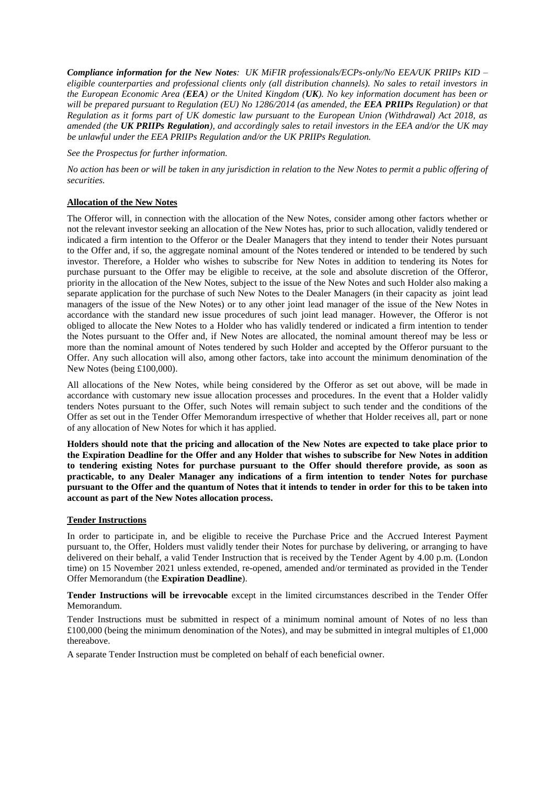*Compliance information for the New Notes: UK MiFIR professionals/ECPs-only/No EEA/UK PRIIPs KID – eligible counterparties and professional clients only (all distribution channels). No sales to retail investors in the European Economic Area (EEA) or the United Kingdom (UK). No key information document has been or will be prepared pursuant to Regulation (EU) No 1286/2014 (as amended, the EEA PRIIPs Regulation) or that Regulation as it forms part of UK domestic law pursuant to the European Union (Withdrawal) Act 2018, as amended (the UK PRIIPs Regulation), and accordingly sales to retail investors in the EEA and/or the UK may be unlawful under the EEA PRIIPs Regulation and/or the UK PRIIPs Regulation.*

*See the Prospectus for further information.*

*No action has been or will be taken in any jurisdiction in relation to the New Notes to permit a public offering of securities.*

# **Allocation of the New Notes**

The Offeror will, in connection with the allocation of the New Notes, consider among other factors whether or not the relevant investor seeking an allocation of the New Notes has, prior to such allocation, validly tendered or indicated a firm intention to the Offeror or the Dealer Managers that they intend to tender their Notes pursuant to the Offer and, if so, the aggregate nominal amount of the Notes tendered or intended to be tendered by such investor. Therefore, a Holder who wishes to subscribe for New Notes in addition to tendering its Notes for purchase pursuant to the Offer may be eligible to receive, at the sole and absolute discretion of the Offeror, priority in the allocation of the New Notes, subject to the issue of the New Notes and such Holder also making a separate application for the purchase of such New Notes to the Dealer Managers (in their capacity as joint lead managers of the issue of the New Notes) or to any other joint lead manager of the issue of the New Notes in accordance with the standard new issue procedures of such joint lead manager. However, the Offeror is not obliged to allocate the New Notes to a Holder who has validly tendered or indicated a firm intention to tender the Notes pursuant to the Offer and, if New Notes are allocated, the nominal amount thereof may be less or more than the nominal amount of Notes tendered by such Holder and accepted by the Offeror pursuant to the Offer. Any such allocation will also, among other factors, take into account the minimum denomination of the New Notes (being £100,000).

All allocations of the New Notes, while being considered by the Offeror as set out above, will be made in accordance with customary new issue allocation processes and procedures. In the event that a Holder validly tenders Notes pursuant to the Offer, such Notes will remain subject to such tender and the conditions of the Offer as set out in the Tender Offer Memorandum irrespective of whether that Holder receives all, part or none of any allocation of New Notes for which it has applied.

**Holders should note that the pricing and allocation of the New Notes are expected to take place prior to the Expiration Deadline for the Offer and any Holder that wishes to subscribe for New Notes in addition to tendering existing Notes for purchase pursuant to the Offer should therefore provide, as soon as practicable, to any Dealer Manager any indications of a firm intention to tender Notes for purchase pursuant to the Offer and the quantum of Notes that it intends to tender in order for this to be taken into account as part of the New Notes allocation process.**

## **Tender Instructions**

In order to participate in, and be eligible to receive the Purchase Price and the Accrued Interest Payment pursuant to, the Offer, Holders must validly tender their Notes for purchase by delivering, or arranging to have delivered on their behalf, a valid Tender Instruction that is received by the Tender Agent by 4.00 p.m. (London time) on 15 November 2021 unless extended, re-opened, amended and/or terminated as provided in the Tender Offer Memorandum (the **Expiration Deadline**).

**Tender Instructions will be irrevocable** except in the limited circumstances described in the Tender Offer Memorandum.

Tender Instructions must be submitted in respect of a minimum nominal amount of Notes of no less than  $\text{\pounds}100,000$  (being the minimum denomination of the Notes), and may be submitted in integral multiples of £1,000 thereabove.

A separate Tender Instruction must be completed on behalf of each beneficial owner.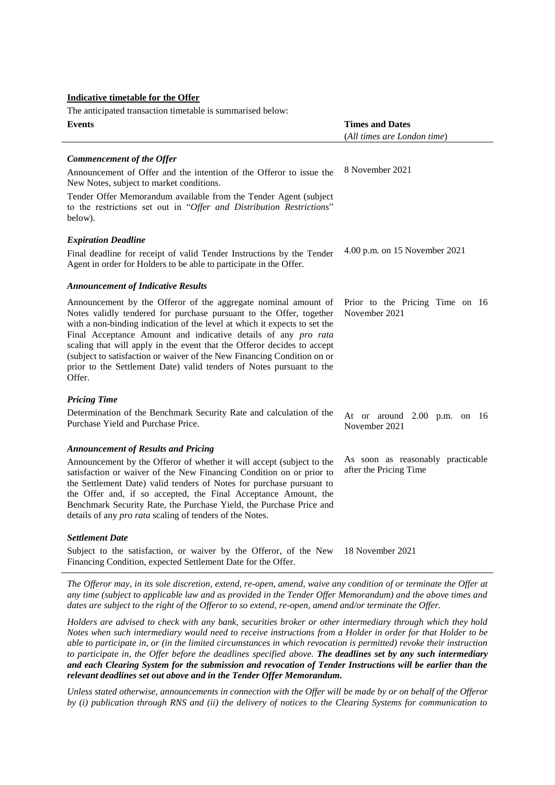# **Indicative timetable for the Offer**

The anticipated transaction timetable is summarised below:

| <b>Events</b>                                                                                                                                                                                                                                                                                                                                                                                                                                                                                                                | <b>Times and Dates</b><br>(All times are London time)       |  |  |
|------------------------------------------------------------------------------------------------------------------------------------------------------------------------------------------------------------------------------------------------------------------------------------------------------------------------------------------------------------------------------------------------------------------------------------------------------------------------------------------------------------------------------|-------------------------------------------------------------|--|--|
| <b>Commencement of the Offer</b>                                                                                                                                                                                                                                                                                                                                                                                                                                                                                             |                                                             |  |  |
| Announcement of Offer and the intention of the Offeror to issue the<br>New Notes, subject to market conditions.                                                                                                                                                                                                                                                                                                                                                                                                              | 8 November 2021                                             |  |  |
| Tender Offer Memorandum available from the Tender Agent (subject<br>to the restrictions set out in "Offer and Distribution Restrictions"<br>below).                                                                                                                                                                                                                                                                                                                                                                          |                                                             |  |  |
| <b>Expiration Deadline</b>                                                                                                                                                                                                                                                                                                                                                                                                                                                                                                   |                                                             |  |  |
| Final deadline for receipt of valid Tender Instructions by the Tender<br>Agent in order for Holders to be able to participate in the Offer.                                                                                                                                                                                                                                                                                                                                                                                  | 4.00 p.m. on 15 November 2021                               |  |  |
| <b>Announcement of Indicative Results</b>                                                                                                                                                                                                                                                                                                                                                                                                                                                                                    |                                                             |  |  |
| Announcement by the Offeror of the aggregate nominal amount of<br>Notes validly tendered for purchase pursuant to the Offer, together<br>with a non-binding indication of the level at which it expects to set the<br>Final Acceptance Amount and indicative details of any pro rata<br>scaling that will apply in the event that the Offeror decides to accept<br>(subject to satisfaction or waiver of the New Financing Condition on or<br>prior to the Settlement Date) valid tenders of Notes pursuant to the<br>Offer. | Prior to the Pricing Time on 16<br>November 2021            |  |  |
| <b>Pricing Time</b>                                                                                                                                                                                                                                                                                                                                                                                                                                                                                                          |                                                             |  |  |
| Determination of the Benchmark Security Rate and calculation of the<br>Purchase Yield and Purchase Price.                                                                                                                                                                                                                                                                                                                                                                                                                    | At or around 2.00 p.m. on 16<br>November 2021               |  |  |
| <b>Announcement of Results and Pricing</b>                                                                                                                                                                                                                                                                                                                                                                                                                                                                                   |                                                             |  |  |
| Announcement by the Offeror of whether it will accept (subject to the<br>satisfaction or waiver of the New Financing Condition on or prior to<br>the Settlement Date) valid tenders of Notes for purchase pursuant to<br>the Offer and, if so accepted, the Final Acceptance Amount, the<br>Benchmark Security Rate, the Purchase Yield, the Purchase Price and<br>details of any <i>pro rata</i> scaling of tenders of the Notes.                                                                                           | As soon as reasonably practicable<br>after the Pricing Time |  |  |
| <b>Settlement Date</b>                                                                                                                                                                                                                                                                                                                                                                                                                                                                                                       |                                                             |  |  |

Subject to the satisfaction, or waiver by the Offeror, of the New 18 November 2021 Financing Condition, expected Settlement Date for the Offer.

*The Offeror may, in its sole discretion, extend, re-open, amend, waive any condition of or terminate the Offer at any time (subject to applicable law and as provided in the Tender Offer Memorandum) and the above times and dates are subject to the right of the Offeror to so extend, re-open, amend and/or terminate the Offer.*

*Holders are advised to check with any bank, securities broker or other intermediary through which they hold Notes when such intermediary would need to receive instructions from a Holder in order for that Holder to be able to participate in, or (in the limited circumstances in which revocation is permitted) revoke their instruction to participate in, the Offer before the deadlines specified above. The deadlines set by any such intermediary and each Clearing System for the submission and revocation of Tender Instructions will be earlier than the relevant deadlines set out above and in the Tender Offer Memorandum.*

*Unless stated otherwise, announcements in connection with the Offer will be made by or on behalf of the Offeror by (i) publication through RNS and (ii) the delivery of notices to the Clearing Systems for communication to*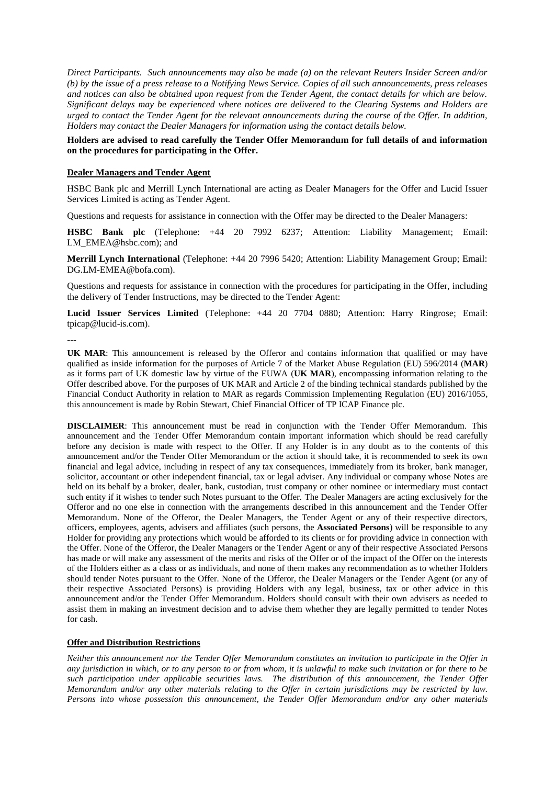*Direct Participants. Such announcements may also be made (a) on the relevant Reuters Insider Screen and/or (b) by the issue of a press release to a Notifying News Service. Copies of all such announcements, press releases and notices can also be obtained upon request from the Tender Agent, the contact details for which are below. Significant delays may be experienced where notices are delivered to the Clearing Systems and Holders are urged to contact the Tender Agent for the relevant announcements during the course of the Offer. In addition, Holders may contact the Dealer Managers for information using the contact details below.*

## **Holders are advised to read carefully the Tender Offer Memorandum for full details of and information on the procedures for participating in the Offer.**

## **Dealer Managers and Tender Agent**

HSBC Bank plc and Merrill Lynch International are acting as Dealer Managers for the Offer and Lucid Issuer Services Limited is acting as Tender Agent.

Questions and requests for assistance in connection with the Offer may be directed to the Dealer Managers:

**HSBC Bank plc** (Telephone: +44 20 7992 6237; Attention: Liability Management; Email: LM\_EMEA@hsbc.com); and

**Merrill Lynch International** (Telephone: +44 20 7996 5420; Attention: Liability Management Group; Email: DG.LM-EMEA@bofa.com).

Questions and requests for assistance in connection with the procedures for participating in the Offer, including the delivery of Tender Instructions, may be directed to the Tender Agent:

**Lucid Issuer Services Limited** (Telephone: +44 20 7704 0880; Attention: Harry Ringrose; Email: tpicap@lucid-is.com).

---

**UK MAR**: This announcement is released by the Offeror and contains information that qualified or may have qualified as inside information for the purposes of Article 7 of the Market Abuse Regulation (EU) 596/2014 (**MAR**) as it forms part of UK domestic law by virtue of the EUWA (**UK MAR**), encompassing information relating to the Offer described above. For the purposes of UK MAR and Article 2 of the binding technical standards published by the Financial Conduct Authority in relation to MAR as regards Commission Implementing Regulation (EU) 2016/1055, this announcement is made by Robin Stewart, Chief Financial Officer of TP ICAP Finance plc.

**DISCLAIMER**: This announcement must be read in conjunction with the Tender Offer Memorandum. This announcement and the Tender Offer Memorandum contain important information which should be read carefully before any decision is made with respect to the Offer. If any Holder is in any doubt as to the contents of this announcement and/or the Tender Offer Memorandum or the action it should take, it is recommended to seek its own financial and legal advice, including in respect of any tax consequences, immediately from its broker, bank manager, solicitor, accountant or other independent financial, tax or legal adviser. Any individual or company whose Notes are held on its behalf by a broker, dealer, bank, custodian, trust company or other nominee or intermediary must contact such entity if it wishes to tender such Notes pursuant to the Offer. The Dealer Managers are acting exclusively for the Offeror and no one else in connection with the arrangements described in this announcement and the Tender Offer Memorandum. None of the Offeror, the Dealer Managers, the Tender Agent or any of their respective directors, officers, employees, agents, advisers and affiliates (such persons, the **Associated Persons**) will be responsible to any Holder for providing any protections which would be afforded to its clients or for providing advice in connection with the Offer. None of the Offeror, the Dealer Managers or the Tender Agent or any of their respective Associated Persons has made or will make any assessment of the merits and risks of the Offer or of the impact of the Offer on the interests of the Holders either as a class or as individuals, and none of them makes any recommendation as to whether Holders should tender Notes pursuant to the Offer. None of the Offeror, the Dealer Managers or the Tender Agent (or any of their respective Associated Persons) is providing Holders with any legal, business, tax or other advice in this announcement and/or the Tender Offer Memorandum. Holders should consult with their own advisers as needed to assist them in making an investment decision and to advise them whether they are legally permitted to tender Notes for cash.

### **Offer and Distribution Restrictions**

*Neither this announcement nor the Tender Offer Memorandum constitutes an invitation to participate in the Offer in any jurisdiction in which, or to any person to or from whom, it is unlawful to make such invitation or for there to be such participation under applicable securities laws. The distribution of this announcement, the Tender Offer Memorandum and/or any other materials relating to the Offer in certain jurisdictions may be restricted by law. Persons into whose possession this announcement, the Tender Offer Memorandum and/or any other materials*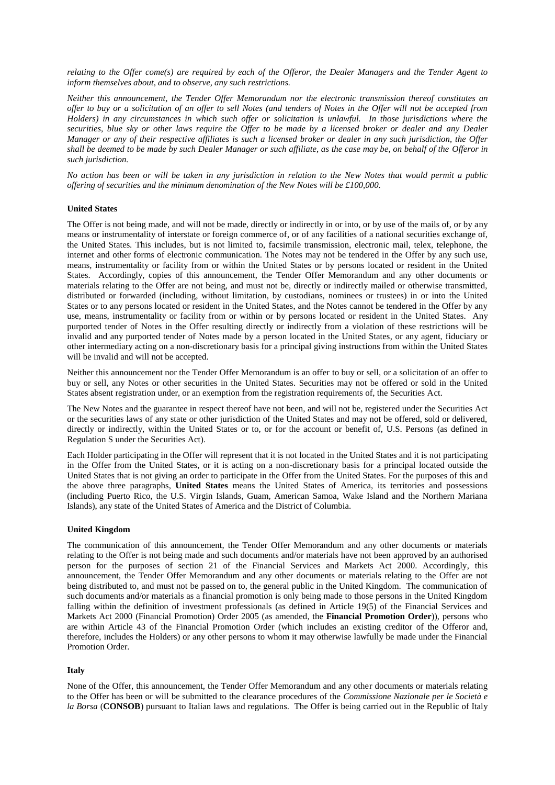*relating to the Offer come(s) are required by each of the Offeror, the Dealer Managers and the Tender Agent to inform themselves about, and to observe, any such restrictions.*

*Neither this announcement, the Tender Offer Memorandum nor the electronic transmission thereof constitutes an offer to buy or a solicitation of an offer to sell Notes (and tenders of Notes in the Offer will not be accepted from Holders) in any circumstances in which such offer or solicitation is unlawful. In those jurisdictions where the securities, blue sky or other laws require the Offer to be made by a licensed broker or dealer and any Dealer Manager or any of their respective affiliates is such a licensed broker or dealer in any such jurisdiction, the Offer shall be deemed to be made by such Dealer Manager or such affiliate, as the case may be, on behalf of the Offeror in such jurisdiction.*

*No action has been or will be taken in any jurisdiction in relation to the New Notes that would permit a public offering of securities and the minimum denomination of the New Notes will be £100,000.*

#### **United States**

The Offer is not being made, and will not be made, directly or indirectly in or into, or by use of the mails of, or by any means or instrumentality of interstate or foreign commerce of, or of any facilities of a national securities exchange of, the United States. This includes, but is not limited to, facsimile transmission, electronic mail, telex, telephone, the internet and other forms of electronic communication. The Notes may not be tendered in the Offer by any such use, means, instrumentality or facility from or within the United States or by persons located or resident in the United States. Accordingly, copies of this announcement, the Tender Offer Memorandum and any other documents or materials relating to the Offer are not being, and must not be, directly or indirectly mailed or otherwise transmitted, distributed or forwarded (including, without limitation, by custodians, nominees or trustees) in or into the United States or to any persons located or resident in the United States, and the Notes cannot be tendered in the Offer by any use, means, instrumentality or facility from or within or by persons located or resident in the United States. Any purported tender of Notes in the Offer resulting directly or indirectly from a violation of these restrictions will be invalid and any purported tender of Notes made by a person located in the United States, or any agent, fiduciary or other intermediary acting on a non-discretionary basis for a principal giving instructions from within the United States will be invalid and will not be accepted.

Neither this announcement nor the Tender Offer Memorandum is an offer to buy or sell, or a solicitation of an offer to buy or sell, any Notes or other securities in the United States. Securities may not be offered or sold in the United States absent registration under, or an exemption from the registration requirements of, the Securities Act.

The New Notes and the guarantee in respect thereof have not been, and will not be, registered under the Securities Act or the securities laws of any state or other jurisdiction of the United States and may not be offered, sold or delivered, directly or indirectly, within the United States or to, or for the account or benefit of, U.S. Persons (as defined in Regulation S under the Securities Act).

Each Holder participating in the Offer will represent that it is not located in the United States and it is not participating in the Offer from the United States, or it is acting on a non-discretionary basis for a principal located outside the United States that is not giving an order to participate in the Offer from the United States. For the purposes of this and the above three paragraphs, **United States** means the United States of America, its territories and possessions (including Puerto Rico, the U.S. Virgin Islands, Guam, American Samoa, Wake Island and the Northern Mariana Islands), any state of the United States of America and the District of Columbia.

#### **United Kingdom**

The communication of this announcement, the Tender Offer Memorandum and any other documents or materials relating to the Offer is not being made and such documents and/or materials have not been approved by an authorised person for the purposes of section 21 of the Financial Services and Markets Act 2000. Accordingly, this announcement, the Tender Offer Memorandum and any other documents or materials relating to the Offer are not being distributed to, and must not be passed on to, the general public in the United Kingdom. The communication of such documents and/or materials as a financial promotion is only being made to those persons in the United Kingdom falling within the definition of investment professionals (as defined in Article 19(5) of the Financial Services and Markets Act 2000 (Financial Promotion) Order 2005 (as amended, the **Financial Promotion Order**)), persons who are within Article 43 of the Financial Promotion Order (which includes an existing creditor of the Offeror and, therefore, includes the Holders) or any other persons to whom it may otherwise lawfully be made under the Financial Promotion Order.

### **Italy**

None of the Offer, this announcement, the Tender Offer Memorandum and any other documents or materials relating to the Offer has been or will be submitted to the clearance procedures of the *Commissione Nazionale per le Società e la Borsa* (**CONSOB**) pursuant to Italian laws and regulations. The Offer is being carried out in the Republic of Italy